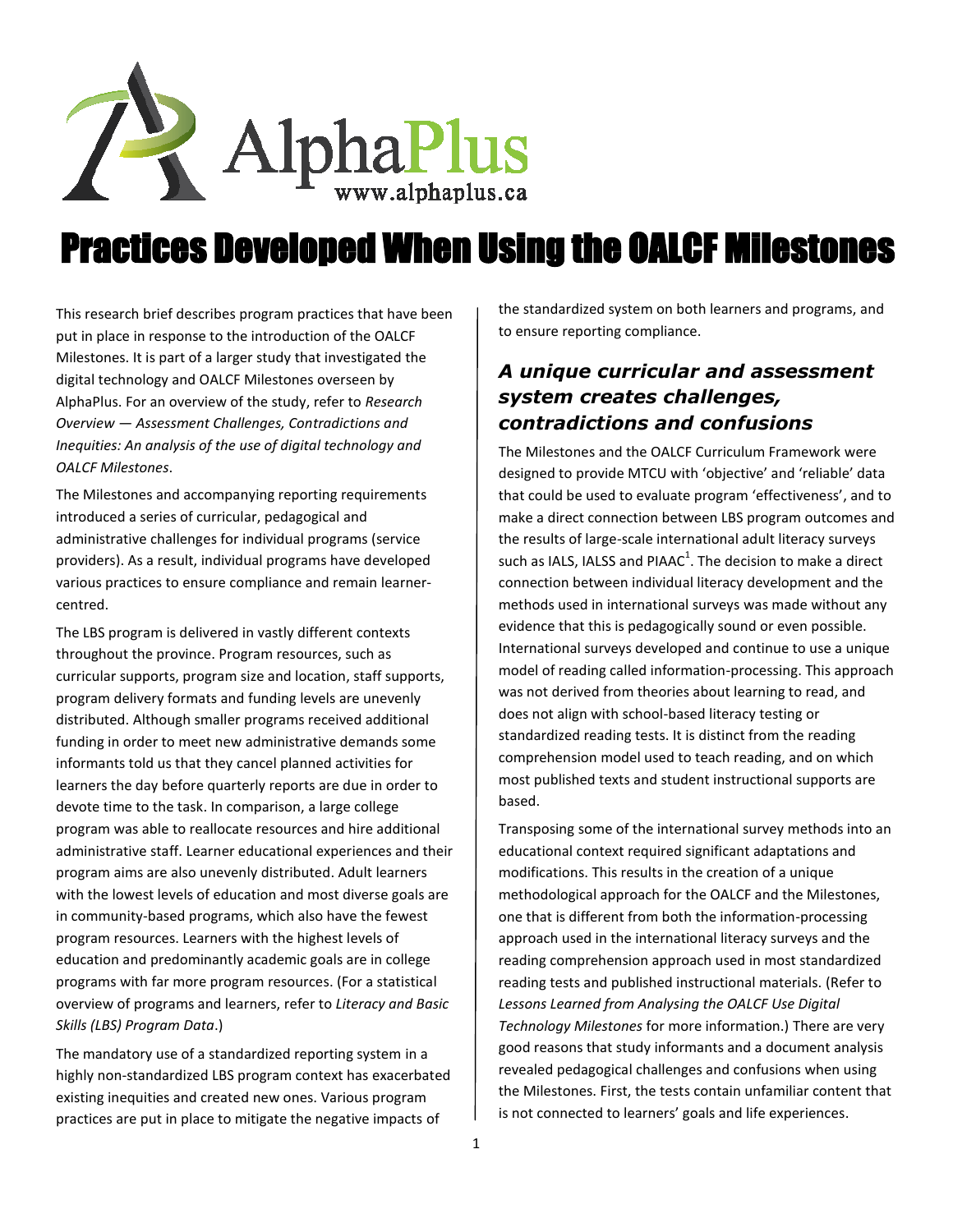

# Practices Developed When Using the OALCF Milestones

This research brief describes program practices that have been put in place in response to the introduction of the OALCF Milestones. It is part of a larger study that investigated the digital technology and OALCF Milestones overseen by AlphaPlus. For an overview of the study, refer to *Research Overview — Assessment Challenges, Contradictions and Inequities: An analysis of the use of digital technology and OALCF Milestones*.

The Milestones and accompanying reporting requirements introduced a series of curricular, pedagogical and administrative challenges for individual programs (service providers). As a result, individual programs have developed various practices to ensure compliance and remain learnercentred.

The LBS program is delivered in vastly different contexts throughout the province. Program resources, such as curricular supports, program size and location, staff supports, program delivery formats and funding levels are unevenly distributed. Although smaller programs received additional funding in order to meet new administrative demands some informants told us that they cancel planned activities for learners the day before quarterly reports are due in order to devote time to the task. In comparison, a large college program was able to reallocate resources and hire additional administrative staff. Learner educational experiences and their program aims are also unevenly distributed. Adult learners with the lowest levels of education and most diverse goals are in community-based programs, which also have the fewest program resources. Learners with the highest levels of education and predominantly academic goals are in college programs with far more program resources. (For a statistical overview of programs and learners, refer to *Literacy and Basic Skills (LBS) Program Data*.)

The mandatory use of a standardized reporting system in a highly non-standardized LBS program context has exacerbated existing inequities and created new ones. Various program practices are put in place to mitigate the negative impacts of

the standardized system on both learners and programs, and to ensure reporting compliance.

# *A unique curricular and assessment system creates challenges, contradictions and confusions*

The Milestones and the OALCF Curriculum Framework were designed to provide MTCU with 'objective' and 'reliable' data that could be used to evaluate program 'effectiveness', and to make a direct connection between LBS program outcomes and the results of large-scale international adult literacy surveys such as IALS, IALSS and PIAAC<sup>1</sup>. The decision to make a direct connection between individual literacy development and the methods used in international surveys was made without any evidence that this is pedagogically sound or even possible. International surveys developed and continue to use a unique model of reading called information-processing. This approach was not derived from theories about learning to read, and does not align with school-based literacy testing or standardized reading tests. It is distinct from the reading comprehension model used to teach reading, and on which most published texts and student instructional supports are based.

Transposing some of the international survey methods into an educational context required significant adaptations and modifications. This results in the creation of a unique methodological approach for the OALCF and the Milestones, one that is different from both the information-processing approach used in the international literacy surveys and the reading comprehension approach used in most standardized reading tests and published instructional materials. (Refer to *Lessons Learned from Analysing the OALCF Use Digital Technology Milestones* for more information.) There are very good reasons that study informants and a document analysis revealed pedagogical challenges and confusions when using the Milestones. First, the tests contain unfamiliar content that is not connected to learners' goals and life experiences.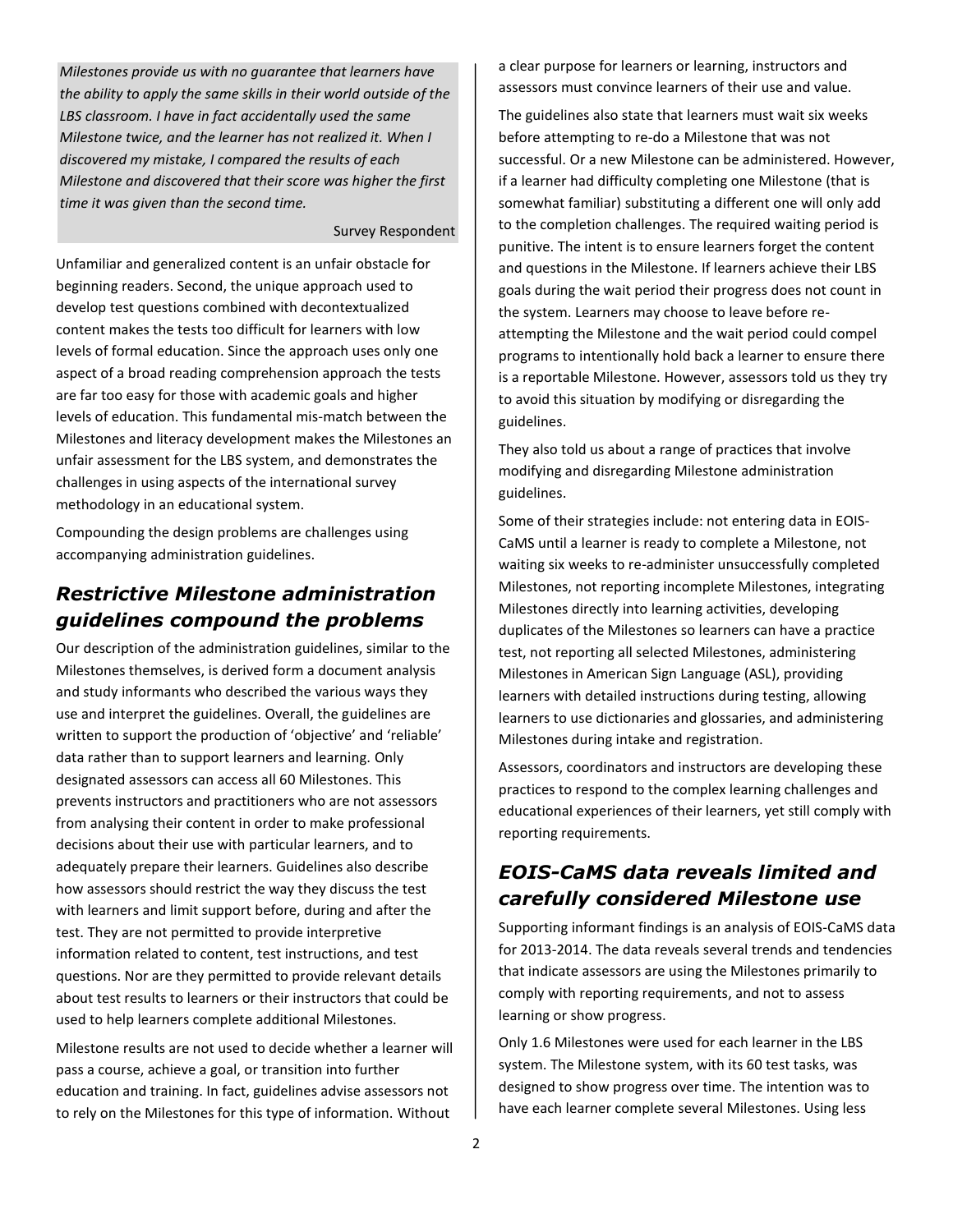*Milestones provide us with no guarantee that learners have the ability to apply the same skills in their world outside of the LBS classroom. I have in fact accidentally used the same Milestone twice, and the learner has not realized it. When I discovered my mistake, I compared the results of each Milestone and discovered that their score was higher the first time it was given than the second time.*

#### Survey Respondent

Unfamiliar and generalized content is an unfair obstacle for beginning readers. Second, the unique approach used to develop test questions combined with decontextualized content makes the tests too difficult for learners with low levels of formal education. Since the approach uses only one aspect of a broad reading comprehension approach the tests are far too easy for those with academic goals and higher levels of education. This fundamental mis-match between the Milestones and literacy development makes the Milestones an unfair assessment for the LBS system, and demonstrates the challenges in using aspects of the international survey methodology in an educational system.

Compounding the design problems are challenges using accompanying administration guidelines.

### *Restrictive Milestone administration guidelines compound the problems*

Our description of the administration guidelines, similar to the Milestones themselves, is derived form a document analysis and study informants who described the various ways they use and interpret the guidelines. Overall, the guidelines are written to support the production of 'objective' and 'reliable' data rather than to support learners and learning. Only designated assessors can access all 60 Milestones. This prevents instructors and practitioners who are not assessors from analysing their content in order to make professional decisions about their use with particular learners, and to adequately prepare their learners. Guidelines also describe how assessors should restrict the way they discuss the test with learners and limit support before, during and after the test. They are not permitted to provide interpretive information related to content, test instructions, and test questions. Nor are they permitted to provide relevant details about test results to learners or their instructors that could be used to help learners complete additional Milestones.

Milestone results are not used to decide whether a learner will pass a course, achieve a goal, or transition into further education and training. In fact, guidelines advise assessors not to rely on the Milestones for this type of information. Without

a clear purpose for learners or learning, instructors and assessors must convince learners of their use and value.

The guidelines also state that learners must wait six weeks before attempting to re-do a Milestone that was not successful. Or a new Milestone can be administered. However, if a learner had difficulty completing one Milestone (that is somewhat familiar) substituting a different one will only add to the completion challenges. The required waiting period is punitive. The intent is to ensure learners forget the content and questions in the Milestone. If learners achieve their LBS goals during the wait period their progress does not count in the system. Learners may choose to leave before reattempting the Milestone and the wait period could compel programs to intentionally hold back a learner to ensure there is a reportable Milestone. However, assessors told us they try to avoid this situation by modifying or disregarding the guidelines.

They also told us about a range of practices that involve modifying and disregarding Milestone administration guidelines.

Some of their strategies include: not entering data in EOIS-CaMS until a learner is ready to complete a Milestone, not waiting six weeks to re-administer unsuccessfully completed Milestones, not reporting incomplete Milestones, integrating Milestones directly into learning activities, developing duplicates of the Milestones so learners can have a practice test, not reporting all selected Milestones, administering Milestones in American Sign Language (ASL), providing learners with detailed instructions during testing, allowing learners to use dictionaries and glossaries, and administering Milestones during intake and registration.

Assessors, coordinators and instructors are developing these practices to respond to the complex learning challenges and educational experiences of their learners, yet still comply with reporting requirements.

### *EOIS-CaMS data reveals limited and carefully considered Milestone use*

Supporting informant findings is an analysis of EOIS-CaMS data for 2013-2014. The data reveals several trends and tendencies that indicate assessors are using the Milestones primarily to comply with reporting requirements, and not to assess learning or show progress.

Only 1.6 Milestones were used for each learner in the LBS system. The Milestone system, with its 60 test tasks, was designed to show progress over time. The intention was to have each learner complete several Milestones. Using less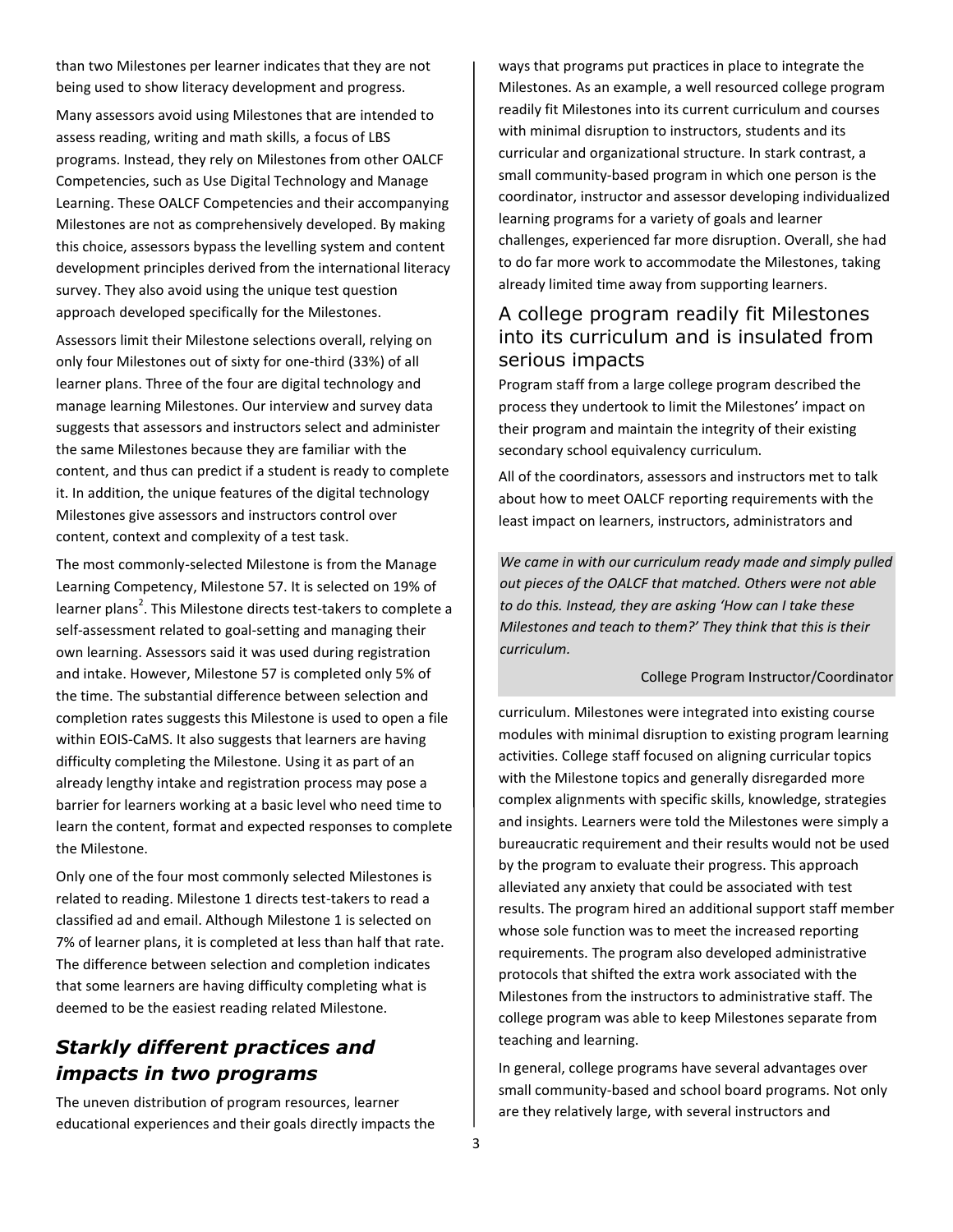than two Milestones per learner indicates that they are not being used to show literacy development and progress.

Many assessors avoid using Milestones that are intended to assess reading, writing and math skills, a focus of LBS programs. Instead, they rely on Milestones from other OALCF Competencies, such as Use Digital Technology and Manage Learning. These OALCF Competencies and their accompanying Milestones are not as comprehensively developed. By making this choice, assessors bypass the levelling system and content development principles derived from the international literacy survey. They also avoid using the unique test question approach developed specifically for the Milestones.

Assessors limit their Milestone selections overall, relying on only four Milestones out of sixty for one-third (33%) of all learner plans. Three of the four are digital technology and manage learning Milestones. Our interview and survey data suggests that assessors and instructors select and administer the same Milestones because they are familiar with the content, and thus can predict if a student is ready to complete it. In addition, the unique features of the digital technology Milestones give assessors and instructors control over content, context and complexity of a test task.

The most commonly-selected Milestone is from the Manage Learning Competency, Milestone 57. It is selected on 19% of learner plans<sup>2</sup>. This Milestone directs test-takers to complete a self-assessment related to goal-setting and managing their own learning. Assessors said it was used during registration and intake. However, Milestone 57 is completed only 5% of the time. The substantial difference between selection and completion rates suggests this Milestone is used to open a file within EOIS-CaMS. It also suggests that learners are having difficulty completing the Milestone. Using it as part of an already lengthy intake and registration process may pose a barrier for learners working at a basic level who need time to learn the content, format and expected responses to complete the Milestone.

Only one of the four most commonly selected Milestones is related to reading. Milestone 1 directs test-takers to read a classified ad and email. Although Milestone 1 is selected on 7% of learner plans, it is completed at less than half that rate. The difference between selection and completion indicates that some learners are having difficulty completing what is deemed to be the easiest reading related Milestone.

## *Starkly different practices and impacts in two programs*

The uneven distribution of program resources, learner educational experiences and their goals directly impacts the ways that programs put practices in place to integrate the Milestones. As an example, a well resourced college program readily fit Milestones into its current curriculum and courses with minimal disruption to instructors, students and its curricular and organizational structure. In stark contrast, a small community-based program in which one person is the coordinator, instructor and assessor developing individualized learning programs for a variety of goals and learner challenges, experienced far more disruption. Overall, she had to do far more work to accommodate the Milestones, taking already limited time away from supporting learners.

#### A college program readily fit Milestones into its curriculum and is insulated from serious impacts

Program staff from a large college program described the process they undertook to limit the Milestones' impact on their program and maintain the integrity of their existing secondary school equivalency curriculum.

All of the coordinators, assessors and instructors met to talk about how to meet OALCF reporting requirements with the least impact on learners, instructors, administrators and

*We came in with our curriculum ready made and simply pulled out pieces of the OALCF that matched. Others were not able to do this. Instead, they are asking 'How can I take these Milestones and teach to them?' They think that this is their curriculum.*

#### College Program Instructor/Coordinator

curriculum. Milestones were integrated into existing course modules with minimal disruption to existing program learning activities. College staff focused on aligning curricular topics with the Milestone topics and generally disregarded more complex alignments with specific skills, knowledge, strategies and insights. Learners were told the Milestones were simply a bureaucratic requirement and their results would not be used by the program to evaluate their progress. This approach alleviated any anxiety that could be associated with test results. The program hired an additional support staff member whose sole function was to meet the increased reporting requirements. The program also developed administrative protocols that shifted the extra work associated with the Milestones from the instructors to administrative staff. The college program was able to keep Milestones separate from teaching and learning.

In general, college programs have several advantages over small community-based and school board programs. Not only are they relatively large, with several instructors and